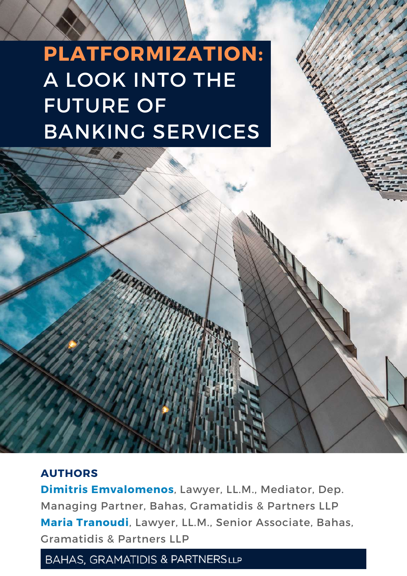# **PLATFORMIZATION:** A LOOK INTO THE FUTURE OF BANKING SERVICES

#### **AUTHORS**

**Dimitris Emvalomenos**, Lawyer, LL.M., Mediator, Dep. Managing Partner, Bahas, Gramatidis & Partners LLP **Maria Tranoudi**, Lawyer, LL.M., Senior Associate, Bahas, Gramatidis & Partners LLP

#### **BAHAS, GRAMATIDIS & PARTNERSLLP**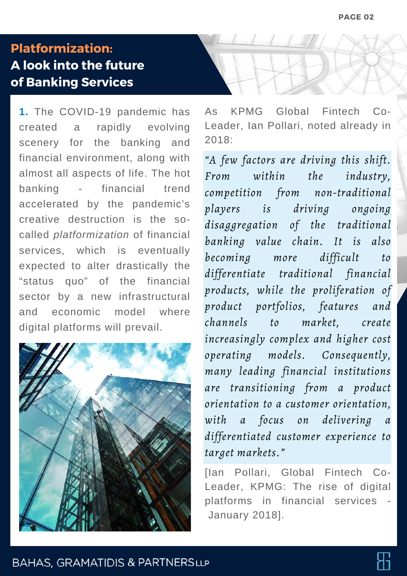### **Platformization: A look into the future of Banking Services**

**1.** The COVID-19 pandemic has created a rapidly evolving scenery for the banking and financial environment, along with almost all aspects of life. The hot banking - financial trend accelerated by the pandemic's creative destruction is the socalled *platformization* of financial services, which is eventually expected to alter drastically the "status quo" of the financial sector by a new infrastructural and economic model where digital platforms will prevail.



As KPMG Global Fintech Co-Leader, Ian Pollari, noted already in 2018:

*"A few factors are driving this shift. From within the industry, competition from non-traditional players is driving ongoing disaggregation of the traditional banking value chain. It is also becoming more difficult to differentiate traditional financial products, while the proliferation of product portfolios, features and channels to market, create increasingly complex and higher cost operating models. Consequently, many leading financial institutions are transitioning from a product orientation to a customer orientation, with a focus on delivering a differentiated customer experience to target markets."*

[Ian Pollari, Global Fintech Co-Leader, KPMG: The rise of digital platforms in financial services - January 2018].

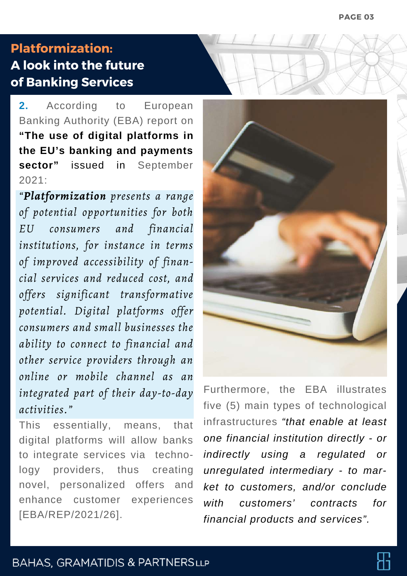## **Platformization: A look into the future of Banking Services**

**2.** According to European Banking Authority (EBA) report on **"The use of digital platforms in the EU's banking and payments sector"** issued in September  $2021$ 

*"Platformization presents a range of potential opportunities for both EU consumers and financial institutions, for instance in terms of improved accessibility of financial services and reduced cost, and offers significant transformative potential. Digital platforms offer consumers and small businesses the ability to connect to financial and other service providers through an online or mobile channel as an integrated part of their day-to-day activities."*

This essentially, means, that digital platforms will allow banks to integrate services via technology providers, thus creating novel, personalized offers and enhance customer experiences [EBA/REP/2021/26].



Furthermore, the EBA illustrates five (5) main types of technological infrastructures *"that enable at least one financial institution directly - or indirectly using a regulated or unregulated intermediary - to market to custοmers, and/or conclude with customers' contracts for financial products and services".*

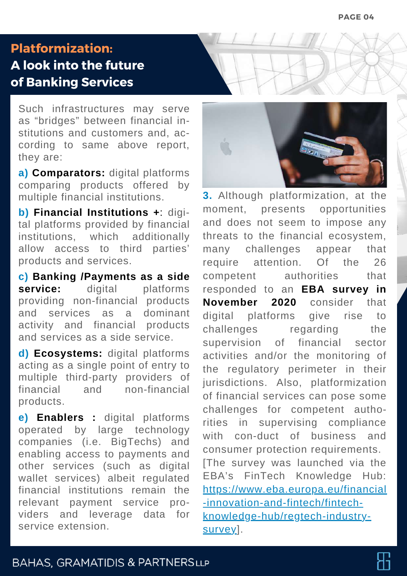#### **Platformization:**

## **A look into the future of Banking Services**

Such infrastructures may serve as "bridges" between financial institutions and customers and, according to same above report, they are:

**a) Comparators:** digital platforms comparing products offered by multiple financial institutions.

**b) Financial Institutions +**: digital platforms provided by financial institutions, which additionally allow access to third parties' products and services.

**c) Banking /Payments as a side service:** digital platforms providing non-financial products and services as a dominant activity and financial products and services as a side service.

**d) Ecosystems:** digital platforms acting as a single point of entry to multiple third-party providers of financial and non-financial products.

**e) Enablers :** digital platforms operated by large technology companies (i.e. BigTechs) and enabling access to payments and other services (such as digital wallet services) albeit regulated financial institutions remain the relevant payment service providers and leverage data for service extension.



**3.** Although platformization, at the moment, presents opportunities and does not seem to impose any threats to the financial ecosystem, many challenges appear that require attention. Of the 26 competent authorities that responded to an **EBA survey in November 2020** consider that digital platforms give rise to challenges regarding the supervision of financial sector activities and/or the monitoring of the regulatory perimeter in their jurisdictions. Also, platformization of financial services can pose some challenges for competent authorities in supervising compliance with con-duct of business and consumer protection requirements. [The survey was launched via the EBA's FinTech Knowledge Hub: https://www.eba.europa.eu/financial -innovation-and-fintech/fintechknowledge-hub/regtech-industrysurvey].

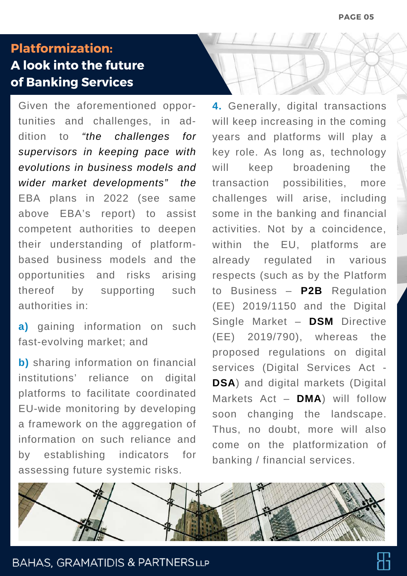### **Platformization: A look into the future of Banking Services**

Given the aforementioned opportunities and challenges, in addition to *"the challenges for supervisors in keeping pace with evolutions in business models and wider market developments" the* EBA plans in 2022 (see same above EBA's report) to assist competent authorities to deepen their understanding of platformbased business models and the opportunities and risks arising thereof by supporting such authorities in:

**a)** gaining information on such fast-evolving market; and

**b)** sharing information on financial institutions' reliance on digital platforms to facilitate coordinated EU-wide monitoring by developing a framework on the aggregation of information on such reliance and by establishing indicators for assessing future systemic risks.

**4.** Generally, digital transactions will keep increasing in the coming years and platforms will play a key role. As long as, technology will keep broadening the transaction possibilities, more challenges will arise, including some in the banking and financial activities. Not by a coincidence, within the EU, platforms are already regulated in various respects (such as by the Platform to Business – **P2B** Regulation (EE) 2019/1150 and the Digital Single Market – **DSM** Directive (ΕΕ) 2019/790), whereas the proposed regulations on digital services (Digital Services Act - **DSA**) and digital markets (Digital Markets Act – **DMA**) will follow soon changing the landscape. Thus, no doubt, more will also come on the platformization of banking / financial services.



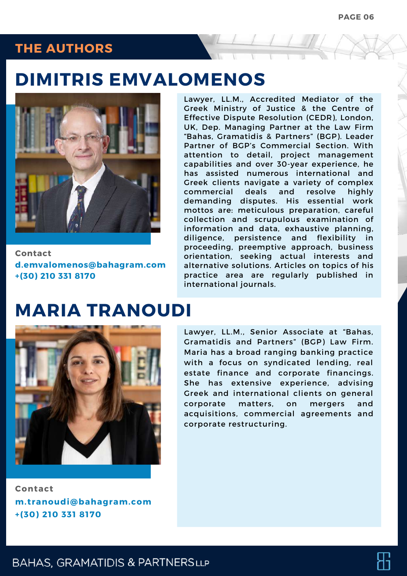#### **THE AUTHORS**

## **DIMITRIS EMVALOMENOS**



**Contact [d.emvalomenos@bahagram.com](mailto:d.emvalomenos@bahagram.com) +(30) 210 331 8170**

Lawyer, LL.M., Accredited Mediator of the Greek Ministry of Justice & the Centre of Effective Dispute Resolution (CEDR), London, UK, Dep. Managing Partner at the Law Firm "Bahas, Gramatidis & Partners" (BGP). Leader Partner of BGP's Commercial Section. With attention to detail, project management capabilities and over 30-year experience, he has assisted numerous international and Greek clients navigate a variety of complex commercial deals and resolve highly demanding disputes. His essential work mottos are: meticulous preparation, careful collection and scrupulous examination of information and data, exhaustive planning, diligence, persistence and flexibility in proceeding, preemptive approach, business orientation, seeking actual interests and alternative solutions. Articles on topics of his practice area are regularly published in international journals.

# **MARIA TRANOUDI**



**Contact [m.tranoudi@bahagram.com](mailto:m.tranoudi@bahagram.com) +(30) 210 331 8170**

Lawyer, LL.M., Senior Associate at "Bahas, Gramatidis and Partners" (BGP) Law Firm. Maria has a broad ranging banking practice with a focus on syndicated lending, real estate finance and corporate financings. She has extensive experience, advising Greek and international clients on general corporate matters, on mergers and acquisitions, commercial agreements and corporate restructuring.

#### **BAHAS, GRAMATIDIS & PARTNERSLLP**